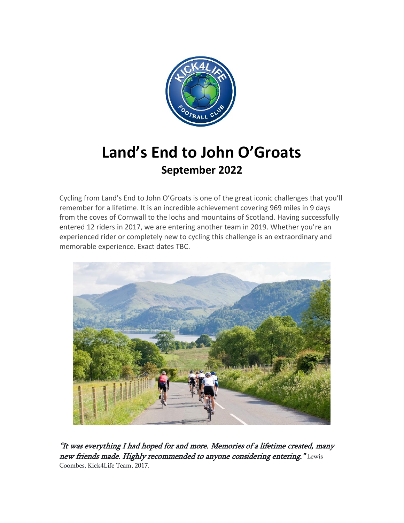

# **Land's End to John O'Groats September 2022**

Cycling from Land's End to John O'Groats is one of the great iconic challenges that you'll remember for a lifetime. It is an incredible achievement covering 969 miles in 9 days from the coves of Cornwall to the lochs and mountains of Scotland. Having successfully entered 12 riders in 2017, we are entering another team in 2019. Whether you're an experienced rider or completely new to cycling this challenge is an extraordinary and memorable experience. Exact dates TBC.



"It was everything I had hoped for and more. Memories of a lifetime created, many new friends made. Highly recommended to anyone considering entering." Lewis Coombes, Kick4Life Team, 2017.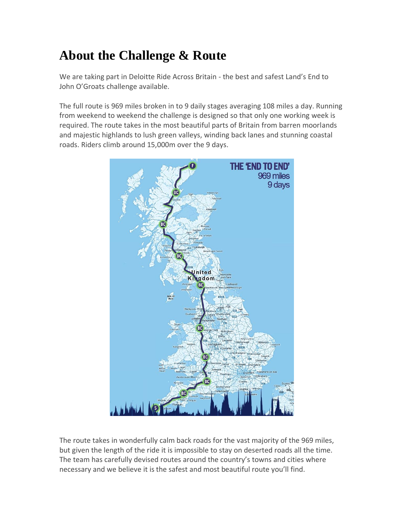## **About the Challenge & Route**

We are taking part in Deloitte Ride Across Britain - the best and safest Land's End to John O'Groats challenge available.

The full route is 969 miles broken in to 9 daily stages averaging 108 miles a day. Running from weekend to weekend the challenge is designed so that only one working week is required. The route takes in the most beautiful parts of Britain from barren moorlands and majestic highlands to lush green valleys, winding back lanes and stunning coastal roads. Riders climb around 15,000m over the 9 days.



The route takes in wonderfully calm back roads for the vast majority of the 969 miles, but given the length of the ride it is impossible to stay on deserted roads all the time. The team has carefully devised routes around the country's towns and cities where necessary and we believe it is the safest and most beautiful route you'll find.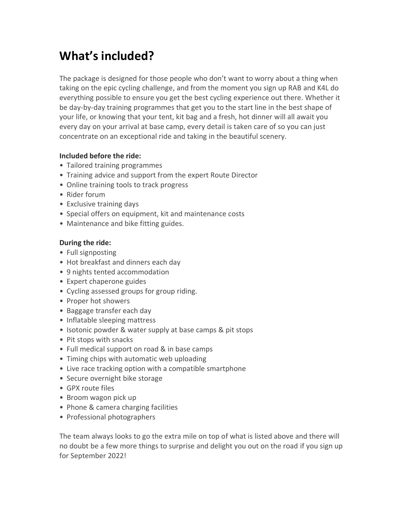### **What's included?**

The package is designed for those people who don't want to worry about a thing when taking on the epic cycling challenge, and from the moment you sign up RAB and K4L do everything possible to ensure you get the best cycling experience out there. Whether it be day-by-day training programmes that get you to the start line in the best shape of your life, or knowing that your tent, kit bag and a fresh, hot dinner will all await you every day on your arrival at base camp, every detail is taken care of so you can just concentrate on an exceptional ride and taking in the beautiful scenery.

#### **Included before the ride:**

- Tailored training programmes
- Training advice and support from the expert Route Director
- Online training tools to track progress
- Rider forum
- Exclusive training days
- Special offers on equipment, kit and maintenance costs
- Maintenance and bike fitting guides.

#### **During the ride:**

- Full signposting
- Hot breakfast and dinners each day
- 9 nights tented accommodation
- Expert chaperone guides
- Cycling assessed groups for group riding.
- Proper hot showers
- Baggage transfer each day
- Inflatable sleeping mattress
- Isotonic powder & water supply at base camps & pit stops
- Pit stops with snacks
- Full medical support on road & in base camps
- Timing chips with automatic web uploading
- Live race tracking option with a compatible smartphone
- Secure overnight bike storage
- GPX route files
- Broom wagon pick up
- Phone & camera charging facilities
- Professional photographers

The team always looks to go the extra mile on top of what is listed above and there will no doubt be a few more things to surprise and delight you out on the road if you sign up for September 2022!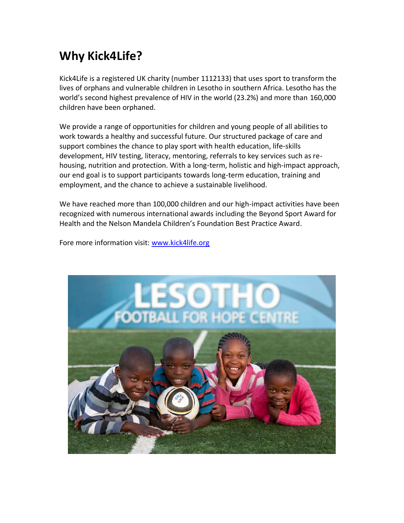### **Why Kick4Life?**

Kick4Life is a registered UK charity (number 1112133) that uses sport to transform the lives of orphans and vulnerable children in Lesotho in southern Africa. Lesotho has the world's second highest prevalence of HIV in the world (23.2%) and more than 160,000 children have been orphaned.

We provide a range of opportunities for children and young people of all abilities to work towards a healthy and successful future. Our structured package of care and support combines the chance to play sport with health education, life-skills development, HIV testing, literacy, mentoring, referrals to key services such as rehousing, nutrition and protection. With a long-term, holistic and high-impact approach, our end goal is to support participants towards long-term education, training and employment, and the chance to achieve a sustainable livelihood.

We have reached more than 100,000 children and our high-impact activities have been recognized with numerous international awards including the Beyond Sport Award for Health and the Nelson Mandela Children's Foundation Best Practice Award.

Fore more information visit: [www.kick4life.org](http://www.kick4life.org/)

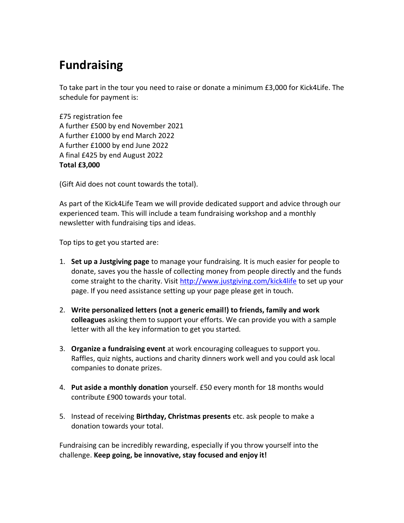### **Fundraising**

To take part in the tour you need to raise or donate a minimum £3,000 for Kick4Life. The schedule for payment is:

£75 registration fee A further £500 by end November 2021 A further £1000 by end March 2022 A further £1000 by end June 2022 A final £425 by end August 2022 **Total £3,000**

(Gift Aid does not count towards the total).

As part of the Kick4Life Team we will provide dedicated support and advice through our experienced team. This will include a team fundraising workshop and a monthly newsletter with fundraising tips and ideas.

Top tips to get you started are:

- 1. **Set up a Justgiving page** to manage your fundraising. It is much easier for people to donate, saves you the hassle of collecting money from people directly and the funds come straight to the charity. Visit<http://www.justgiving.com/kick4life> to set up your page. If you need assistance setting up your page please get in touch.
- 2. **Write personalized letters (not a generic email!) to friends, family and work colleagues** asking them to support your efforts. We can provide you with a sample letter with all the key information to get you started.
- 3. **Organize a fundraising event** at work encouraging colleagues to support you. Raffles, quiz nights, auctions and charity dinners work well and you could ask local companies to donate prizes.
- 4. **Put aside a monthly donation** yourself. £50 every month for 18 months would contribute £900 towards your total.
- 5. Instead of receiving **Birthday, Christmas presents** etc. ask people to make a donation towards your total.

Fundraising can be incredibly rewarding, especially if you throw yourself into the challenge. **Keep going, be innovative, stay focused and enjoy it!**